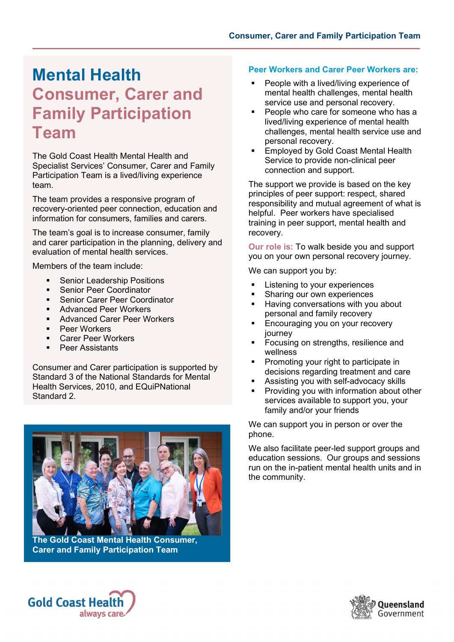## Mental Health Consumer, Carer and Family Participation Team

The Gold Coast Health Mental Health and Specialist Services' Consumer, Carer and Family Participation Team is a lived/living experience team.

The team provides a responsive program of recovery-oriented peer connection, education and information for consumers, families and carers.

The team's goal is to increase consumer, family and carer participation in the planning, delivery and evaluation of mental health services.

Members of the team include:

- **Senior Leadership Positions**
- **Senior Peer Coordinator**
- Senior Carer Peer Coordinator
- Advanced Peer Workers
- **Advanced Carer Peer Workers**
- Peer Workers
- Carer Peer Workers
- Peer Assistants

Consumer and Carer participation is supported by Standard 3 of the National Standards for Mental Health Services, 2010, and EQuiPNational Standard 2.



The Gold Coast Mental Health Consumer, Carer and Family Participation Team

## Peer Workers and Carer Peer Workers are:

- People with a lived/living experience of mental health challenges, mental health service use and personal recovery.
- **People who care for someone who has a** lived/living experience of mental health challenges, mental health service use and personal recovery.
- **Employed by Gold Coast Mental Health** Service to provide non-clinical peer connection and support.

The support we provide is based on the key principles of peer support: respect, shared responsibility and mutual agreement of what is helpful. Peer workers have specialised training in peer support, mental health and recovery.

Our role is: To walk beside you and support you on your own personal recovery journey.

We can support you by:

- Listening to your experiences
- Sharing our own experiences
- Having conversations with you about personal and family recovery
- **Encouraging you on your recovery** journey
- Focusing on strengths, resilience and wellness
- Promoting your right to participate in decisions regarding treatment and care
- Assisting you with self-advocacy skills
- **Providing you with information about other** services available to support you, your family and/or your friends

We can support you in person or over the phone.

We also facilitate peer-led support groups and education sessions. Our groups and sessions run on the in-patient mental health units and in the community.